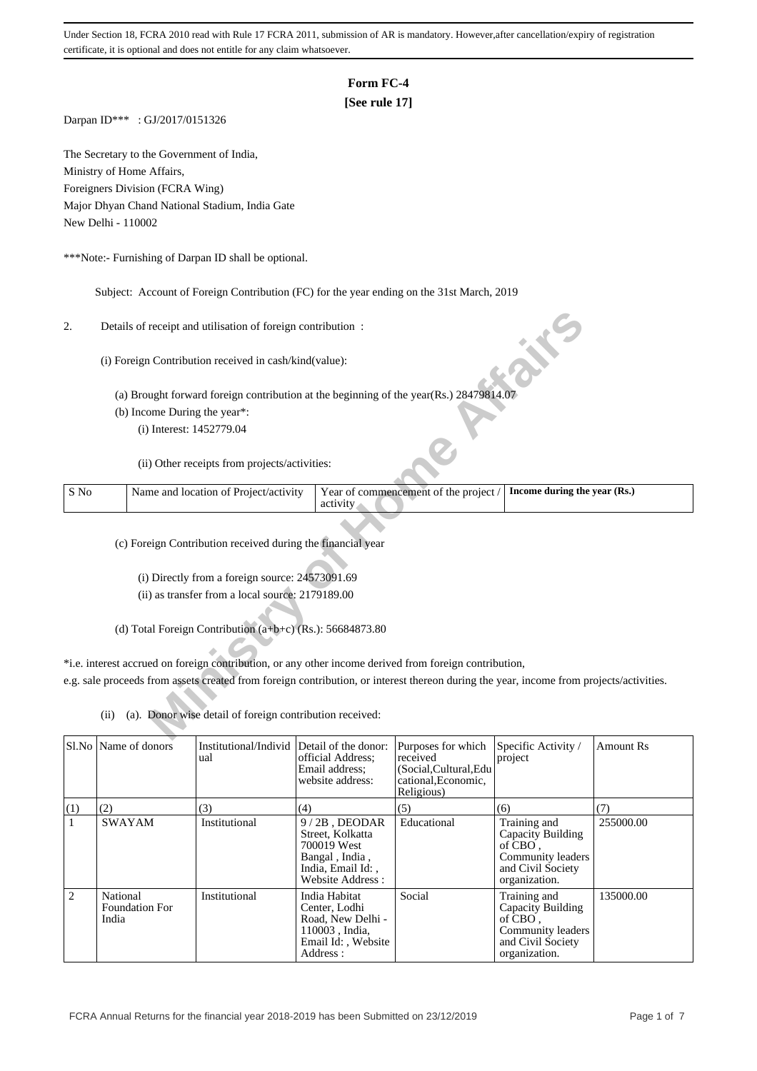## **Form FC-4**

## **[See rule 17]**

Darpan ID\*\*\* : GJ/2017/0151326

The Secretary to the Government of India, Ministry of Home Affairs, Foreigners Division (FCRA Wing) Major Dhyan Chand National Stadium, India Gate New Delhi - 110002

\*\*\*Note:- Furnishing of Darpan ID shall be optional.

Subject: Account of Foreign Contribution (FC) for the year ending on the 31st March, 2019

| 2.   |      | Details of receipt and utilisation of foreign contribution:                                                                             |                                                   |                              |
|------|------|-----------------------------------------------------------------------------------------------------------------------------------------|---------------------------------------------------|------------------------------|
|      |      | (i) Foreign Contribution received in cash/kind(value):                                                                                  |                                                   |                              |
|      |      | (a) Brought forward foreign contribution at the beginning of the year(Rs.) 28479814.07                                                  |                                                   |                              |
|      |      | (b) Income During the year*:                                                                                                            |                                                   |                              |
|      |      | (i) Interest: 1452779.04                                                                                                                |                                                   |                              |
|      |      | (ii) Other receipts from projects/activities:                                                                                           |                                                   |                              |
| S No |      | Name and location of Project/activity                                                                                                   | Year of commencement of the project /<br>activity | Income during the year (Rs.) |
|      |      |                                                                                                                                         |                                                   |                              |
|      |      | (c) Foreign Contribution received during the financial year                                                                             |                                                   |                              |
|      |      |                                                                                                                                         |                                                   |                              |
|      |      | (i) Directly from a foreign source: 24573091.69                                                                                         |                                                   |                              |
|      |      | (ii) as transfer from a local source: 2179189.00                                                                                        |                                                   |                              |
|      |      |                                                                                                                                         |                                                   |                              |
|      |      | (d) Total Foreign Contribution $(a+b+c)$ (Rs.): 56684873.80                                                                             |                                                   |                              |
|      |      |                                                                                                                                         |                                                   |                              |
|      |      | *i.e. interest accrued on foreign contribution, or any other income derived from foreign contribution,                                  |                                                   |                              |
|      |      | e.g. sale proceeds from assets created from foreign contribution, or interest thereon during the year, income from projects/activities. |                                                   |                              |
|      |      |                                                                                                                                         |                                                   |                              |
|      | (ii) | (a). Donor wise detail of foreign contribution received:                                                                                |                                                   |                              |
|      |      |                                                                                                                                         |                                                   |                              |

|     | SLNo Name of donors                        | Institutional/Individ Detail of the donor:<br>ual | official Address:<br>Email address:<br>website address:                                                       | Purposes for which<br>received<br>(Social, Cultural, Edu<br>cational, Economic,<br>Religious) | Specific Activity /<br>project                                                                          | <b>Amount Rs</b> |
|-----|--------------------------------------------|---------------------------------------------------|---------------------------------------------------------------------------------------------------------------|-----------------------------------------------------------------------------------------------|---------------------------------------------------------------------------------------------------------|------------------|
| (1) | (2)                                        | (3)                                               | (4)                                                                                                           | (5)                                                                                           | (6)                                                                                                     | (7)              |
|     | <b>SWAYAM</b>                              | Institutional                                     | $9/2B$ , DEODAR<br>Street, Kolkatta<br>700019 West<br>Bangal, India,<br>India, Email Id:,<br>Website Address: | Educational                                                                                   | Training and<br>Capacity Building<br>of CBO.<br>Community leaders<br>and Civil Society<br>organization. | 255000.00        |
| 2   | National<br><b>Foundation For</b><br>India | Institutional                                     | India Habitat<br>Center, Lodhi<br>Road, New Delhi -<br>110003, India.<br>Email Id:, Website<br>Address:       | Social                                                                                        | Training and<br>Capacity Building<br>of CBO.<br>Community leaders<br>and Civil Society<br>organization. | 135000.00        |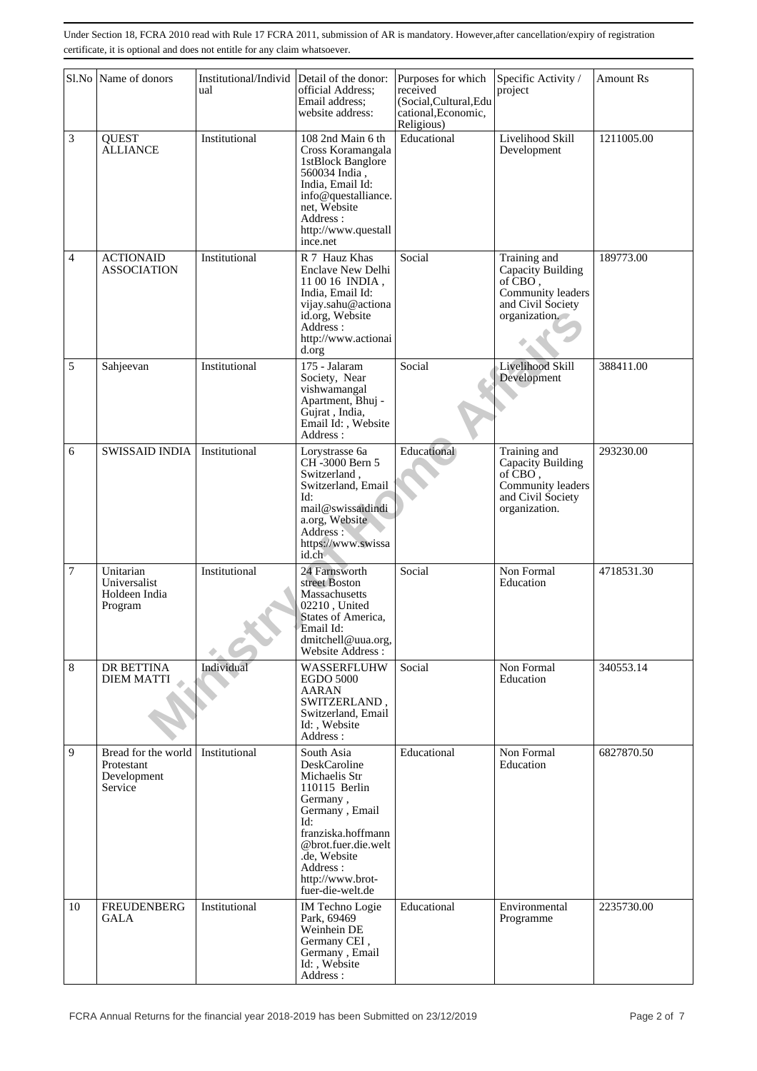|                | Sl.No Name of donors                                        | Institutional/Individ<br>ual | Detail of the donor:<br>official Address:<br>Email address;<br>website address:                                                                                                                                    | Purposes for which<br>received<br>(Social, Cultural, Edu<br>cational, Economic,<br>Religious) | Specific Activity /<br>project                                                                          | <b>Amount Rs</b> |
|----------------|-------------------------------------------------------------|------------------------------|--------------------------------------------------------------------------------------------------------------------------------------------------------------------------------------------------------------------|-----------------------------------------------------------------------------------------------|---------------------------------------------------------------------------------------------------------|------------------|
| 3              | <b>QUEST</b><br><b>ALLIANCE</b>                             | Institutional                | 108 2nd Main 6 th<br>Cross Koramangala<br>1stBlock Banglore<br>560034 India,<br>India, Email Id:<br>info@questalliance.<br>net, Website<br>Address:<br>http://www.questall<br>ince.net                             | Educational                                                                                   | Livelihood Skill<br>Development                                                                         | 1211005.00       |
| 4              | <b>ACTIONAID</b><br><b>ASSOCIATION</b>                      | Institutional                | R 7 Hauz Khas<br><b>Enclave New Delhi</b><br>11 00 16 INDIA,<br>India, Email Id:<br>vijay.sahu@actiona<br>id.org, Website<br>Address:<br>http://www.actionai<br>d.org                                              | Social                                                                                        | Training and<br>Capacity Building<br>of CBO,<br>Community leaders<br>and Civil Society<br>organization. | 189773.00        |
| 5              | Sahjeevan                                                   | Institutional                | 175 - Jalaram<br>Society, Near<br>vishwamangal<br>Apartment, Bhuj -<br>Gujrat, India,<br>Email Id:, Website<br>Address:                                                                                            | Social                                                                                        | Livelihood Skill<br>Development                                                                         | 388411.00        |
| 6              | <b>SWISSAID INDIA</b>                                       | Institutional                | Lorystrasse 6a<br>CH-3000 Bern 5<br>Switzerland,<br>Switzerland, Email<br>Id:<br>mail@swissaidindi<br>a.org, Website<br>Address:<br>https://www.swissa<br>id.ch                                                    | Educational                                                                                   | Training and<br>Capacity Building<br>of CBO,<br>Community leaders<br>and Civil Society<br>organization. | 293230.00        |
| $\overline{7}$ | Unitarian<br>Universalist<br>Holdeen India<br>Program       | Institutional                | 24 Farnsworth<br>street Boston<br>Massachusetts<br>02210, United<br>States of America,<br>Email Id:<br>dmitchell@uua.org,<br>Website Address:                                                                      | Social                                                                                        | Non Formal<br>Education                                                                                 | 4718531.30       |
| $8\,$          | DR BETTINA<br><b>DIEM MATTI</b>                             | Individual                   | WASSERFLUHW<br><b>EGDO 5000</b><br><b>AARAN</b><br>SWITZERLAND,<br>Switzerland, Email<br>Id:, Website<br>Address:                                                                                                  | Social                                                                                        | Non Formal<br>Education                                                                                 | 340553.14        |
| 9              | Bread for the world<br>Protestant<br>Development<br>Service | Institutional                | South Asia<br>DeskCaroline<br>Michaelis Str<br>110115 Berlin<br>Germany,<br>Germany, Email<br>Id:<br>franziska.hoffmann<br>@brot.fuer.die.welt<br>.de. Website<br>Address:<br>http://www.brot-<br>fuer-die-welt.de | Educational                                                                                   | Non Formal<br>Education                                                                                 | 6827870.50       |
| 10             | <b>FREUDENBERG</b><br>GALA                                  | Institutional                | <b>IM Techno Logie</b><br>Park, 69469<br>Weinhein DE<br>Germany CEI,<br>Germany, Email<br>Id:, Website<br>Address:                                                                                                 | Educational                                                                                   | Environmental<br>Programme                                                                              | 2235730.00       |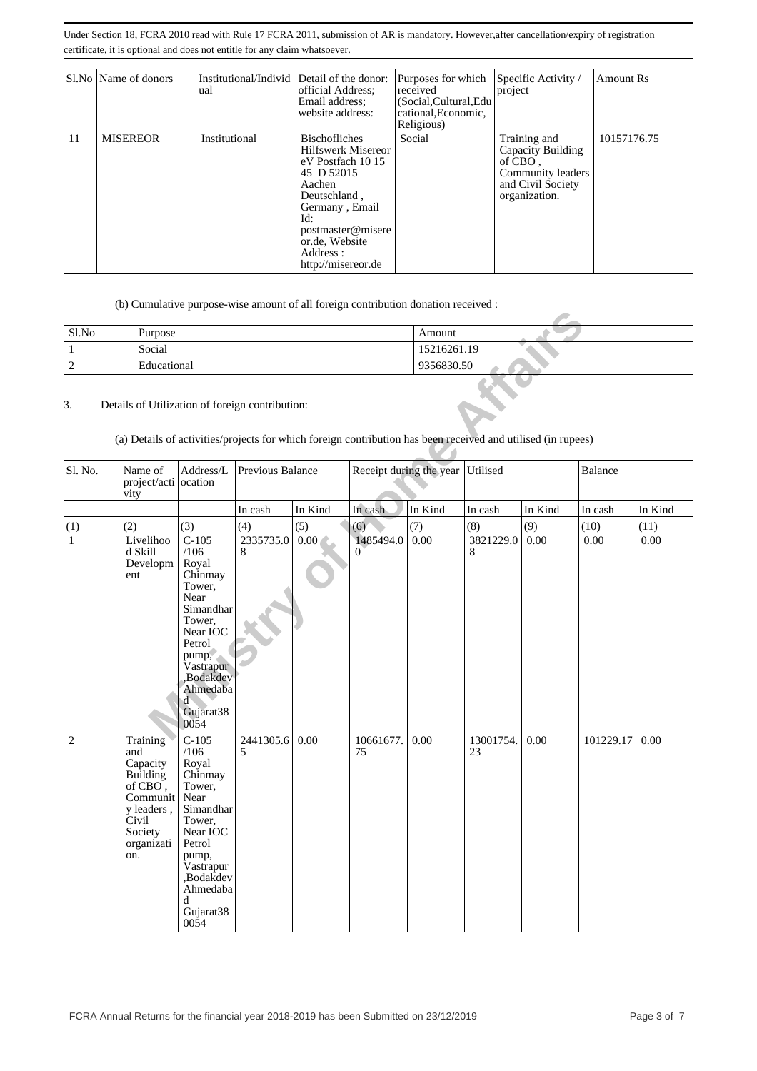|    | Sl.No   Name of donors | Institutional/Individ Detail of the donor:<br>ual | official Address:<br>Email address:<br>website address:                                                                                                                                                           | Purposes for which<br>received<br>(Social, Cultural, Edu<br>cational, Economic,<br>Religious) | Specific Activity /<br>project                                                                          | <b>Amount Rs</b> |
|----|------------------------|---------------------------------------------------|-------------------------------------------------------------------------------------------------------------------------------------------------------------------------------------------------------------------|-----------------------------------------------------------------------------------------------|---------------------------------------------------------------------------------------------------------|------------------|
| 11 | <b>MISEREOR</b>        | Institutional                                     | <b>Bischofliches</b><br><b>Hilfswerk Misereor</b><br>eV Postfach 10 15<br>45 D 52015<br>Aachen<br>Deutschland,<br>Germany, Email<br>Id:<br>postmaster@misere<br>or.de, Website<br>Address :<br>http://misereor.de | Social                                                                                        | Training and<br>Capacity Building<br>of CBO.<br>Community leaders<br>and Civil Society<br>organization. | 10157176.75      |

(b) Cumulative purpose-wise amount of all foreign contribution donation received :

| Sl.No | Purpose     | Amount      |
|-------|-------------|-------------|
|       | Social      | 15216261.19 |
|       | Educational | 9356830.50  |

| Sl.No          | Purpose                                                                                                                                                         |                                                                                                                                                                             |                  |                   |                             | Amount                  |                 |         |           |         |
|----------------|-----------------------------------------------------------------------------------------------------------------------------------------------------------------|-----------------------------------------------------------------------------------------------------------------------------------------------------------------------------|------------------|-------------------|-----------------------------|-------------------------|-----------------|---------|-----------|---------|
| $\mathbf{1}$   | Social                                                                                                                                                          |                                                                                                                                                                             |                  |                   |                             | 15216261.19             |                 |         |           |         |
| $\overline{2}$ | 9356830.50<br>Educational                                                                                                                                       |                                                                                                                                                                             |                  |                   |                             |                         |                 |         |           |         |
| 3.             | Details of Utilization of foreign contribution:<br>(a) Details of activities/projects for which foreign contribution has been received and utilised (in rupees) |                                                                                                                                                                             |                  |                   |                             |                         |                 |         |           |         |
| Sl. No.        | Name of<br>project/acti ocation<br>vity                                                                                                                         | Address/L                                                                                                                                                                   | Previous Balance |                   |                             | Receipt during the year | Utilised        |         | Balance   |         |
|                |                                                                                                                                                                 |                                                                                                                                                                             | In cash          | In Kind           | In cash                     | In Kind                 | In cash         | In Kind | In cash   | In Kind |
| (1)            | (2)                                                                                                                                                             | (3)                                                                                                                                                                         | (4)              | (5)               | (6)                         | (7)                     | (8)             | (9)     | (10)      | (11)    |
| $\mathbf{1}$   | Livelihoo<br>d Skill<br>Developm<br>ent                                                                                                                         | $C-105$<br>/106<br>Royal<br>Chinmay<br>Tower,<br>Near<br>Simandhar<br>Tower,<br>Near IOC<br>Petrol<br>pump,<br>Vastrapur<br>,Bodakdev<br>Ahmedaba<br>ď<br>Gujarat38<br>0054 | 2335735.0<br>8   | 0.00 <sub>1</sub> | 1485494.0<br>$\overline{0}$ | 0.00                    | 3821229.0<br>8  | 0.00    | $0.00\,$  | 0.00    |
| $\mathbf{2}$   | Training<br>and<br>Capacity<br>Building<br>of $CBO$ ,<br>Communit<br>y leaders,<br>Civil<br>Society<br>organizati<br>on.                                        | $C-105$<br>/106<br>Royal<br>Chinmay<br>Tower,<br>Near<br>Simandhar<br>Tower,<br>Near IOC<br>Petrol<br>pump,<br>Vastrapur<br>,Bodakdev<br>Ahmedaba<br>d<br>Gujarat38<br>0054 | 2441305.6<br>5   | 0.00              | 10661677.<br>75             | 0.00                    | 13001754.<br>23 | 0.00    | 101229.17 | 0.00    |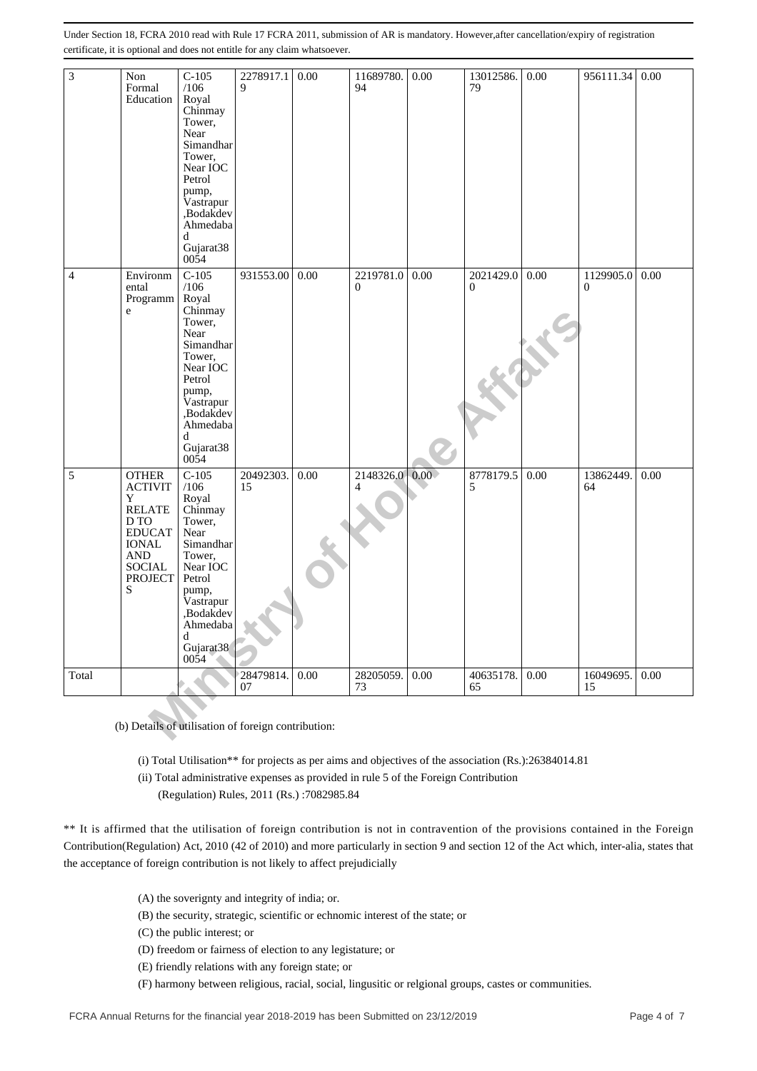| 3                                                                                                                                                                                                                           | Non<br>Formal<br>Education                                                                                                                              | $C-105$<br>/106<br>Royal<br>Chinmay<br>Tower,<br>Near<br>Simandhar<br>Tower,<br>Near IOC<br>Petrol<br>pump,<br>Vastrapur<br>,Bodakdev<br>Ahmedaba<br>d<br>Gujarat38<br>0054 | 2278917.1<br>$\mathbf Q$                            | $0.00\,$                                                                                                                                                                                                                                                                                                  | 11689780.<br>94             | 0.00          | 13012586.<br>79           | 0.00     | 956111.34                   | 0.00 |
|-----------------------------------------------------------------------------------------------------------------------------------------------------------------------------------------------------------------------------|---------------------------------------------------------------------------------------------------------------------------------------------------------|-----------------------------------------------------------------------------------------------------------------------------------------------------------------------------|-----------------------------------------------------|-----------------------------------------------------------------------------------------------------------------------------------------------------------------------------------------------------------------------------------------------------------------------------------------------------------|-----------------------------|---------------|---------------------------|----------|-----------------------------|------|
| 4                                                                                                                                                                                                                           | Environm<br>ental<br>Programm<br>e                                                                                                                      | $C-105$<br>/106<br>Royal<br>Chinmay<br>Tower,<br>Near<br>Simandhar<br>Tower,<br>Near IOC<br>Petrol<br>pump,<br>Vastrapur<br>,Bodakdev<br>Ahmedaba<br>d<br>Gujarat38<br>0054 | 931553.00                                           | 0.00                                                                                                                                                                                                                                                                                                      | 2219781.0<br>$\overline{0}$ | 0.00          | 2021429.0<br>$\mathbf{0}$ | 0.00     | 1129905.0<br>$\overline{0}$ | 0.00 |
| 5                                                                                                                                                                                                                           | <b>OTHER</b><br><b>ACTIVIT</b><br>Y<br><b>RELATE</b><br>D TO<br><b>EDUCAT</b><br><b>IONAL</b><br>$\mathbf{AND}$<br><b>SOCIAL</b><br><b>PROJECT</b><br>S | $C-105$<br>/106<br>Royal<br>Chinmay<br>Tower,<br>Near<br>Simandhar<br>Tower,<br>Near IOC<br>Petrol<br>pump,<br>Vastrapur<br>,Bodakdev<br>Ahmedaba<br>d<br>Gujarat38<br>0054 | 20492303.<br>15                                     | 0.00                                                                                                                                                                                                                                                                                                      | 2148326.0<br>$\overline{4}$ | $0.00\degree$ | 8778179.5<br>5            | 0.00     | 13862449.<br>64             | 0.00 |
| Total                                                                                                                                                                                                                       |                                                                                                                                                         |                                                                                                                                                                             | 28479814.<br>07                                     | 0.00                                                                                                                                                                                                                                                                                                      | 28205059.<br>73             | 0.00          | 40635178.<br>65           | $0.00\,$ | 16049695.<br>15             | 0.00 |
| ** It is affirmed that the utilisation of foreign contribution is not in contravention of the provisions contained in the Foreign                                                                                           |                                                                                                                                                         |                                                                                                                                                                             | (b) Details of utilisation of foreign contribution: | (i) Total Utilisation** for projects as per aims and objectives of the association (Rs.):26384014.81<br>(ii) Total administrative expenses as provided in rule 5 of the Foreign Contribution<br>(Regulation) Rules, 2011 (Rs.): 7082985.84                                                                |                             |               |                           |          |                             |      |
| Contribution(Regulation) Act, 2010 (42 of 2010) and more particularly in section 9 and section 12 of the Act which, inter-alia, states that<br>the acceptance of foreign contribution is not likely to affect prejudicially |                                                                                                                                                         |                                                                                                                                                                             |                                                     |                                                                                                                                                                                                                                                                                                           |                             |               |                           |          |                             |      |
|                                                                                                                                                                                                                             |                                                                                                                                                         | (C) the public interest; or                                                                                                                                                 | (A) the soverignty and integrity of india; or.      | (B) the security, strategic, scientific or echnomic interest of the state; or<br>(D) freedom or fairness of election to any legistature; or<br>(E) friendly relations with any foreign state; or<br>(F) harmony between religious, racial, social, lingusitic or relgional groups, castes or communities. |                             |               |                           |          |                             |      |

- (A) the soverignty and integrity of india; or.
- (B) the security, strategic, scientific or echnomic interest of the state; or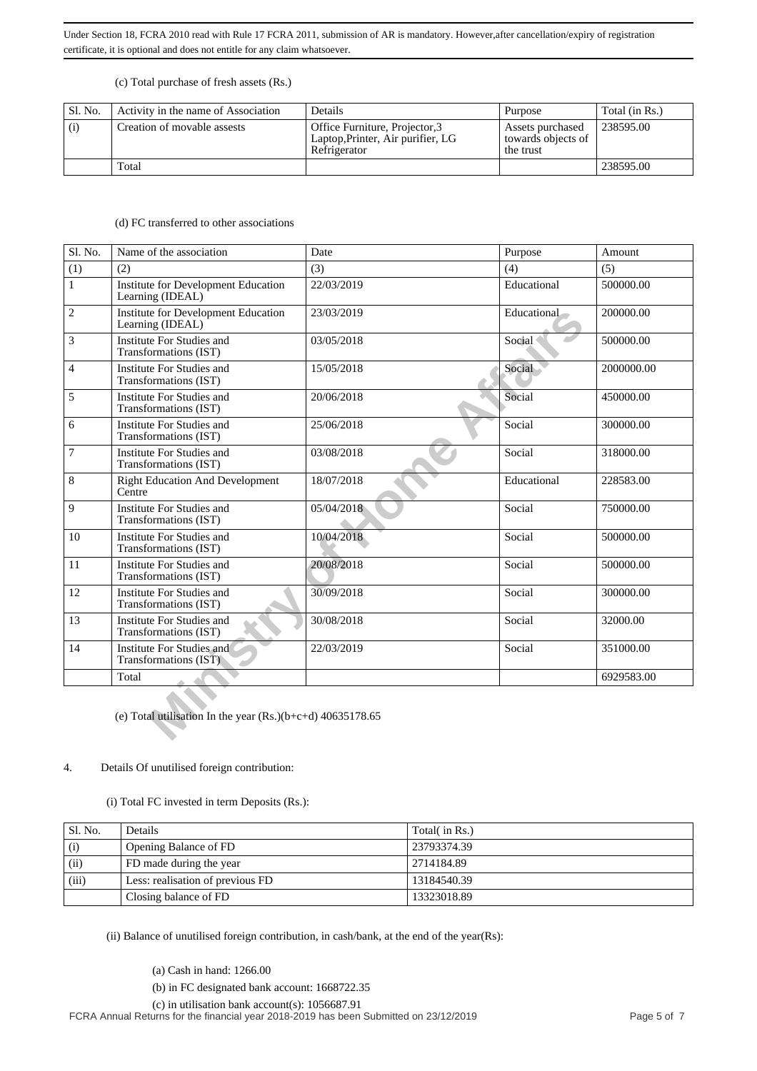#### (c) Total purchase of fresh assets (Rs.)

| Sl. No. | Activity in the name of Association | Details                                                                             | Purpose                                             | Total (in Rs.) |
|---------|-------------------------------------|-------------------------------------------------------------------------------------|-----------------------------------------------------|----------------|
| (i)     | Creation of movable assests         | Office Furniture, Projector, 3<br>Laptop, Printer, Air purifier, LG<br>Refrigerator | Assets purchased<br>towards objects of<br>the trust | 238595.00      |
|         | Total                               |                                                                                     |                                                     | 238595.00      |

#### (d) FC transferred to other associations

| Sl. No.        | Name of the association                                        | Date       | Purpose     | Amount     |
|----------------|----------------------------------------------------------------|------------|-------------|------------|
|                |                                                                |            |             |            |
| (1)            | (2)                                                            | (3)        | (4)         | (5)        |
| $\mathbf{1}$   | <b>Institute for Development Education</b><br>Learning (IDEAL) | 22/03/2019 | Educational | 500000.00  |
| $\overline{c}$ | <b>Institute for Development Education</b><br>Learning (IDEAL) | 23/03/2019 | Educational | 200000.00  |
| 3              | <b>Institute For Studies and</b><br>Transformations (IST)      | 03/05/2018 | Social      | 500000.00  |
| 4              | Institute For Studies and<br>Transformations (IST)             | 15/05/2018 | Social      | 2000000.00 |
| 5              | Institute For Studies and<br>Transformations (IST)             | 20/06/2018 | Social      | 450000.00  |
| 6              | Institute For Studies and<br>Transformations (IST)             | 25/06/2018 | Social      | 300000.00  |
| 7              | Institute For Studies and<br>Transformations (IST)             | 03/08/2018 | Social      | 318000.00  |
| 8              | <b>Right Education And Development</b><br>Centre               | 18/07/2018 | Educational | 228583.00  |
| 9              | Institute For Studies and<br>Transformations (IST)             | 05/04/2018 | Social      | 750000.00  |
| 10             | Institute For Studies and<br>Transformations (IST)             | 10/04/2018 | Social      | 500000.00  |
| 11             | Institute For Studies and<br>Transformations (IST)             | 20/08/2018 | Social      | 500000.00  |
| 12             | Institute For Studies and<br>Transformations (IST)             | 30/09/2018 | Social      | 300000.00  |
| 13             | Institute For Studies and<br>Transformations (IST)             | 30/08/2018 | Social      | 32000.00   |
| 14             | Institute For Studies and<br>Transformations (IST)             | 22/03/2019 | Social      | 351000.00  |
|                | Total                                                          |            |             | 6929583.00 |
|                | (e) Total utilisation In the year $(Rs.)(b+c+d)$ 40635178.65   |            |             |            |

#### 4. Details Of unutilised foreign contribution:

(i) Total FC invested in term Deposits (Rs.):

| Sl. No. | Details                          | Total( in Rs.) |
|---------|----------------------------------|----------------|
| (i)     | Opening Balance of FD            | 23793374.39    |
| (ii)    | FD made during the year          | 2714184.89     |
| (iii)   | Less: realisation of previous FD | 13184540.39    |
|         | Closing balance of FD            | 13323018.89    |

(ii) Balance of unutilised foreign contribution, in cash/bank, at the end of the year(Rs):

(a) Cash in hand: 1266.00

(b) in FC designated bank account: 1668722.35

 (c) in utilisation bank account(s): 1056687.91 FCRA Annual Returns for the financial year 2018-2019 has been Submitted on 23/12/2019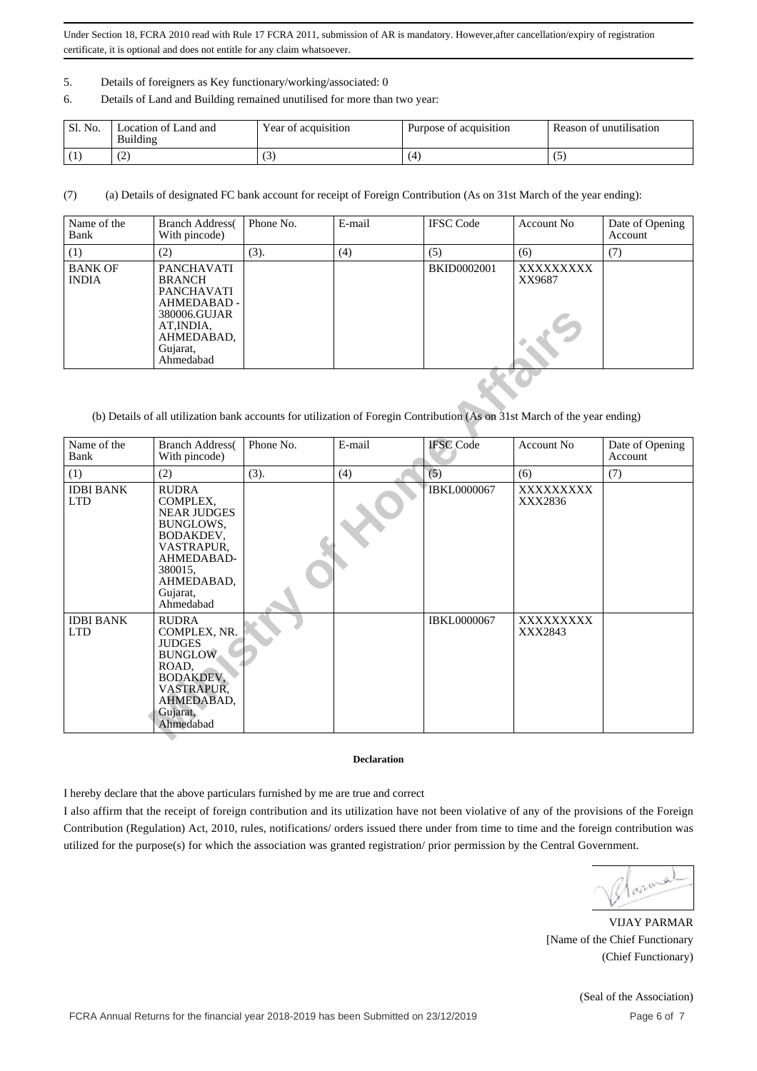- 5. Details of foreigners as Key functionary/working/associated: 0
- 6. Details of Land and Building remained unutilised for more than two year:

| Sl. No.                  | ocation of Land and<br>Building | Year of acquisition                | Purpose of acquisition | Reason of unutilisation |
|--------------------------|---------------------------------|------------------------------------|------------------------|-------------------------|
| $\overline{\phantom{a}}$ | ∼                               | $\overline{\phantom{a}}$<br>$\sim$ |                        | $\cdot$                 |

(7) (a) Details of designated FC bank account for receipt of Foreign Contribution (As on 31st March of the year ending):

| Name of the<br>Bank            | <b>Branch Address</b><br>With pincode)                                                                                               | Phone No. | E-mail | <b>IFSC</b> Code   | Account No         | Date of Opening<br>Account |
|--------------------------------|--------------------------------------------------------------------------------------------------------------------------------------|-----------|--------|--------------------|--------------------|----------------------------|
| (1)                            | (2)                                                                                                                                  | (3).      | (4)    | (5)                | (6)                | (7)                        |
| <b>BANK OF</b><br><b>INDIA</b> | <b>PANCHAVATI</b><br><b>BRANCH</b><br>PANCHAVATI<br>AHMEDABAD -<br>380006.GUJAR<br>AT, INDIA,<br>AHMEDABAD,<br>Gujarat,<br>Ahmedabad |           |        | <b>BKID0002001</b> | XXXXXXXX<br>XX9687 |                            |

(b) Details of all utilization bank accounts for utilization of Foregin Contribution (As on 31st March of the year ending)

|                                | 380006.GUJAR<br>AT, INDIA,<br>AHMEDABAD,<br>Gujarat,<br>Ahmedabad                                                                                      |           |        |                    |                      |                            |
|--------------------------------|--------------------------------------------------------------------------------------------------------------------------------------------------------|-----------|--------|--------------------|----------------------|----------------------------|
|                                | (b) Details of all utilization bank accounts for utilization of Foregin Contribution (As on 31st March of the year ending)                             |           |        |                    |                      |                            |
| Name of the<br>Bank            | <b>Branch Address</b><br>With pincode)                                                                                                                 | Phone No. | E-mail | <b>IFSC</b> Code   | Account No           | Date of Opening<br>Account |
| (1)                            | (2)                                                                                                                                                    | (3).      | (4)    | (5)                | (6)                  | (7)                        |
| <b>IDBI BANK</b><br><b>LTD</b> | <b>RUDRA</b><br>COMPLEX,<br><b>NEAR JUDGES</b><br>BUNGLOWS,<br>BODAKDEV,<br>VASTRAPUR.<br>AHMEDABAD-<br>380015.<br>AHMEDABAD,<br>Gujarat,<br>Ahmedabad |           |        | IBKL0000067        | XXXXXXXXX<br>XXX2836 |                            |
| <b>IDBI BANK</b><br><b>LTD</b> | <b>RUDRA</b><br>COMPLEX, NR.<br><b>JUDGES</b><br><b>BUNGLOW</b><br>ROAD,<br>BODAKDEV,<br>VASTRAPUR.<br>AHMEDABAD,<br>Gujarat,<br>Ahmedabad             |           |        | <b>IBKL0000067</b> | XXXXXXXXX<br>XXX2843 |                            |

#### **Declaration**

I hereby declare that the above particulars furnished by me are true and correct

I also affirm that the receipt of foreign contribution and its utilization have not been violative of any of the provisions of the Foreign Contribution (Regulation) Act, 2010, rules, notifications/ orders issued there under from time to time and the foreign contribution was utilized for the purpose(s) for which the association was granted registration/ prior permission by the Central Government.

VIJAY PARMAR [Name of the Chief Functionary (Chief Functionary)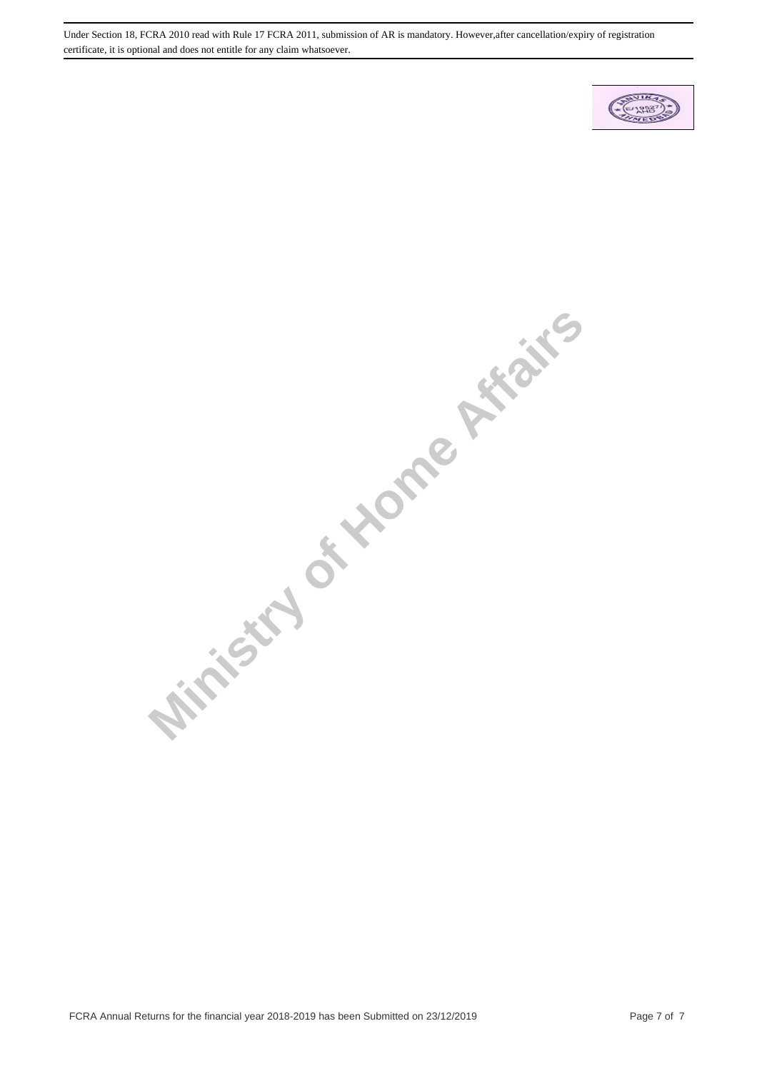

**Ministry of Home Affairs**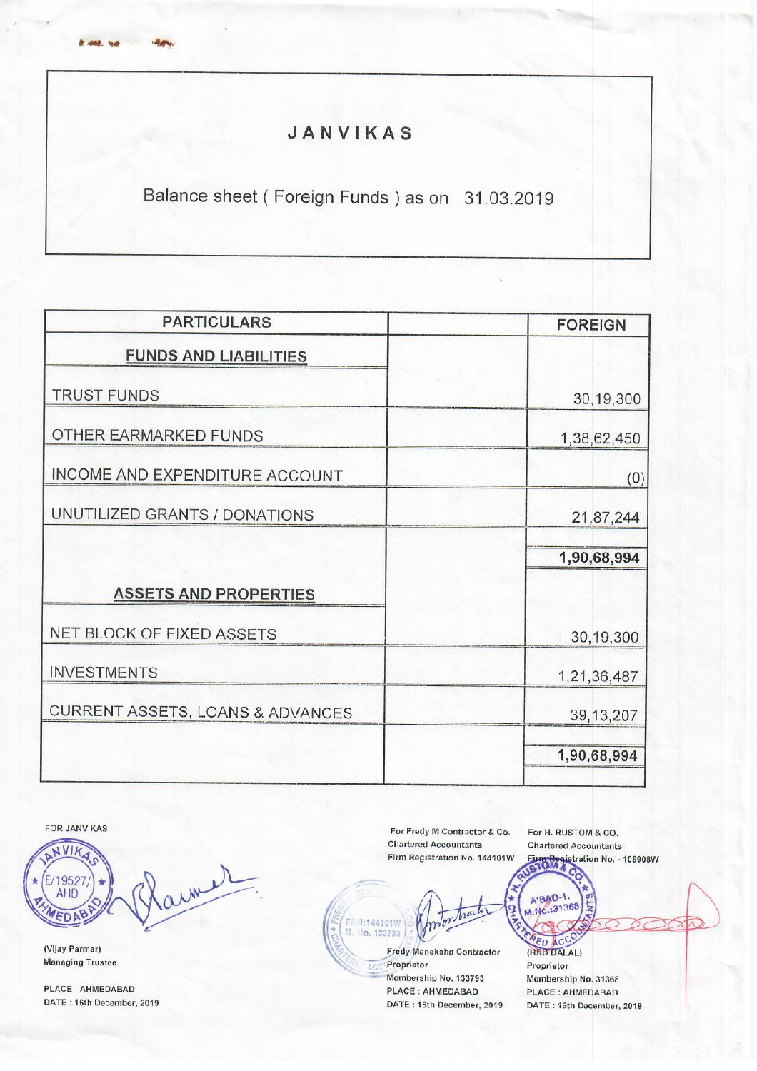# JANVIKAS

Balance sheet (Foreign Funds) as on 31.03.2019

| <b>PARTICULARS</b>               | <b>FOREIGN</b> |
|----------------------------------|----------------|
| <b>FUNDS AND LIABILITIES</b>     |                |
| <b>TRUST FUNDS</b>               | 30,19,300      |
| OTHER EARMARKED FUNDS            | 1,38,62,450    |
| INCOME AND EXPENDITURE ACCOUNT   | (0)            |
| UNUTILIZED GRANTS / DONATIONS    | 21,87,244      |
|                                  | 1,90,68,994    |
| <b>ASSETS AND PROPERTIES</b>     |                |
| NET BLOCK OF FIXED ASSETS        | 30,19,300      |
| <b>INVESTMENTS</b>               | 1,21,36,487    |
| CURRENT ASSETS, LOANS & ADVANCES | 39, 13, 207    |
|                                  | 1,90,68,994    |

FOR JANVIKAS

**Bridge Made** 

NVIK army 1952 F **AHD** EDA

(Vijay Parmar) **Managing Trustee** 

PLACE: AHMEDABAD DATE: 16th December, 2019

For Fredy M Contractor & Co. **Chartered Accountants** Firm Registration No. 144101W For H. RUSTOM & CO. **Chartered Accountants First Registration No. - 108908W** 

FRN:144101W<br>M. No. 133793 Fredy Maneksha Contractor

**ACC Proprietor** Membership No. 133793 PLACE: AHMEDABAD DATE: 16th December, 2019

(HRED ACC Proprietor Membership No. 31368 PLACE: AHMEDABAD DATE: 16th December, 2019

A'BAD-1. V.No.:31368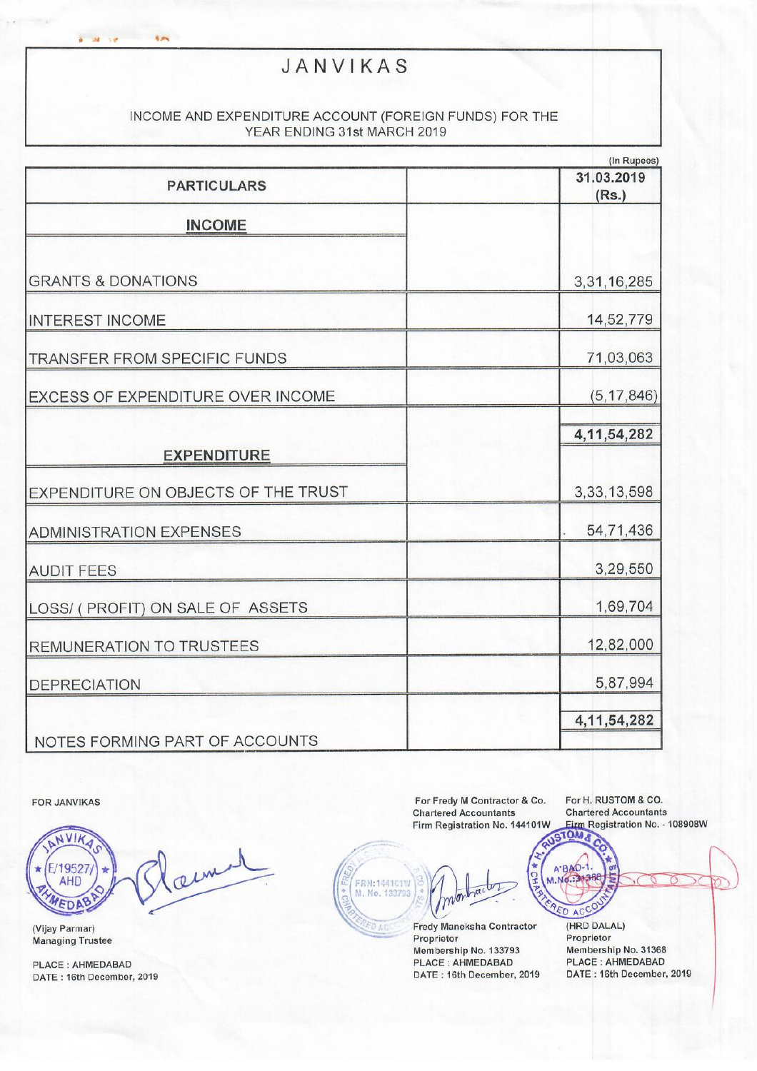# JANVIKAS

## INCOME AND EXPENDITURE ACCOUNT (FOREIGN FUNDS) FOR THE YEAR ENDING 31st MARCH 2019

|                                          | (In Rupees)         |
|------------------------------------------|---------------------|
| <b>PARTICULARS</b>                       | 31.03.2019<br>(Rs.) |
| <b>INCOME</b>                            |                     |
| <b>GRANTS &amp; DONATIONS</b>            | 3,31,16,285         |
| <b>INTEREST INCOME</b>                   | 14,52,779           |
| TRANSFER FROM SPECIFIC FUNDS             | 71,03,063           |
| <b>EXCESS OF EXPENDITURE OVER INCOME</b> | (5, 17, 846)        |
| <b>EXPENDITURE</b>                       | 4, 11, 54, 282      |
| EXPENDITURE ON OBJECTS OF THE TRUST      | 3, 33, 13, 598      |
| <b>ADMINISTRATION EXPENSES</b>           | 54,71,436           |
| <b>AUDIT FEES</b>                        | 3,29,550            |
| LOSS/ ( PROFIT) ON SALE OF ASSETS        | 1,69,704            |
| <b>REMUNERATION TO TRUSTEES</b>          | 12,82,000           |
| <b>DEPRECIATION</b>                      | 5,87,994            |
| NOTES FORMING PART OF ACCOUNTS           | 4, 11, 54, 282      |

FOR JANVIKAS

NVIK aim E/19527 **AHD** WEDAB

a serve and

(Vijay Parmar) **Managing Trustee** 

PLACE: AHMEDABAD DATE: 16th December, 2019

For Fredy M Contractor & Co. **Chartered Accountants** Firm Registration No. 144101W

For H. RUSTOM & CO. **Chartered Accountants** Eirm Registration No. - 108908W

A'BAD-1.

M.No.: 31368

RED ACCO

FRN:144101W<br>M. No. 133793 Fredy Maneksha Contractor

Proprietor Membership No. 133793 PLACE : AHMEDABAD DATE: 16th December, 2019 (HRD DALAL) Proprietor Membership No. 31368 **PLACE: AHMEDABAD** DATE: 16th December, 2019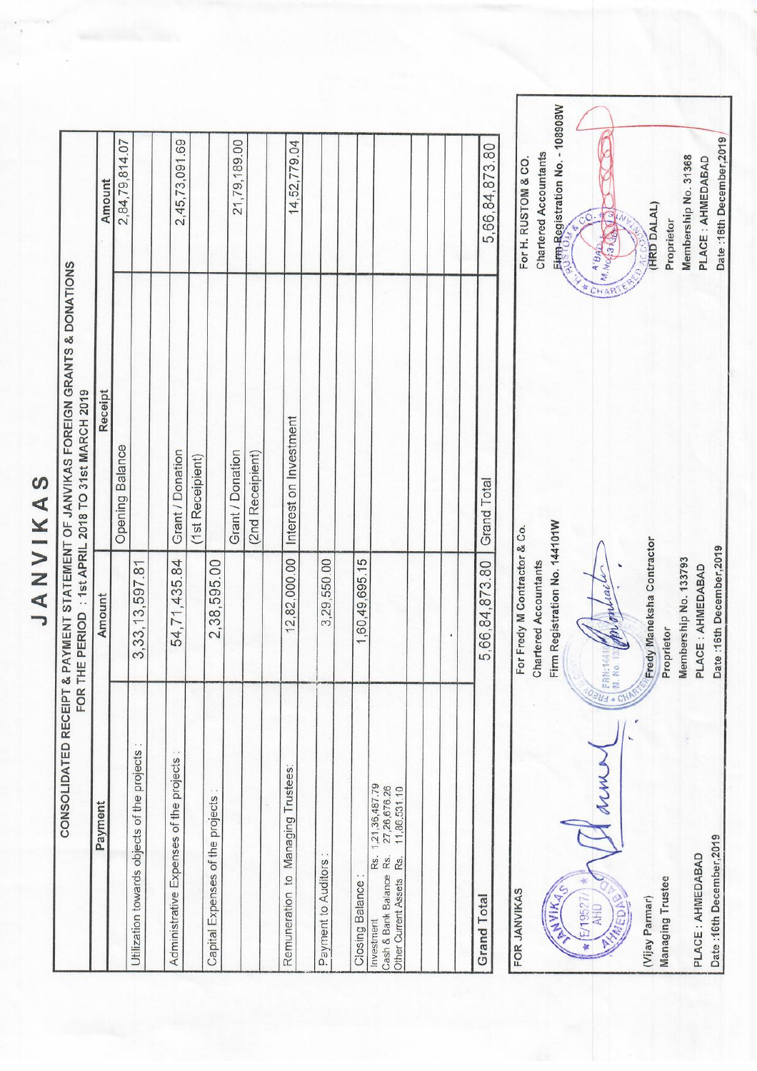JANVIKAS

| CONSOLIDATED RECEIPT                                                                                                          | FOR                                                    | & PAYMENT STATEMENT OF JANVIKAS FOREIGN GRANTS & DONATIONS<br>THE PERIOD : 1st APRIL 2018 TO 31st MARCH 2019 |                                                                |
|-------------------------------------------------------------------------------------------------------------------------------|--------------------------------------------------------|--------------------------------------------------------------------------------------------------------------|----------------------------------------------------------------|
| Payment                                                                                                                       | Amount                                                 | Receipt                                                                                                      | Amount                                                         |
|                                                                                                                               |                                                        | <b>Opening Balance</b>                                                                                       | 2,84,79,814.07                                                 |
| Utilization towards objects of the projects                                                                                   | 3, 33, 13, 597.81                                      |                                                                                                              |                                                                |
| Administrative Expenses of the projects                                                                                       | 54,71,435.84                                           | Grant / Donation                                                                                             | 2,45,73,091.69                                                 |
| Capital Expenses of the projects                                                                                              | 2,38,595.00                                            | (1st Receipient)                                                                                             |                                                                |
|                                                                                                                               |                                                        | Grant / Donation                                                                                             | 21,79,189.00                                                   |
|                                                                                                                               |                                                        | (2nd Receipient)                                                                                             |                                                                |
| Remuneration to Managing Trustees:                                                                                            | 12,82,000.00                                           | Interest on Investment                                                                                       | 14,52,779.04                                                   |
| Payment to Auditors                                                                                                           | 3,29,550.00                                            |                                                                                                              |                                                                |
| Closing Balance                                                                                                               | 1,60,49,695.15                                         |                                                                                                              |                                                                |
| 1,21,36,487.79<br>27,26,676.26<br>11,86,531.10<br>Rs.<br>Cash & Bank Balance Rs.<br>Rs.<br>Other Current Assets<br>Investment |                                                        |                                                                                                              |                                                                |
|                                                                                                                               |                                                        |                                                                                                              |                                                                |
| Grand Total                                                                                                                   | 5,66,84,873.80                                         | Total<br>Grand                                                                                               | 5,66,84,873.80                                                 |
| FOR JANVIKAS                                                                                                                  | For Fredy M Contractor & Co.                           |                                                                                                              | For H. RUSTOM & CO.                                            |
| <b>PANIKA</b>                                                                                                                 | Firm Registration No. 144101W<br>Chartered Accountants |                                                                                                              | Eirm-Registration No. - 108908<br><b>Chartered Accountants</b> |
| ANN A<br>E/19527<br><b>AHD</b><br>¥                                                                                           | □□□□ 中・読白味<br>OBU-                                     |                                                                                                              | <u>್</u><br>ARBIA A.BAR                                        |

 $\overline{\phantom{0}}$ Date:16th December,2019 Membership No. 31368 PLACE : AHMEDABAD (HRD DALAL) Ten Byelo Proprietor 丽 Fredy Maneksha Contractor Date: 16th December, 2019 Membership No. 133793 PLACE : AHMEDABAD Sammer (Martin Proprietor WWW. Date :16th December, 2019 PLACE: AHMEDABAD Wijay Parmar)<br>Managing Trustee **MARDAS**